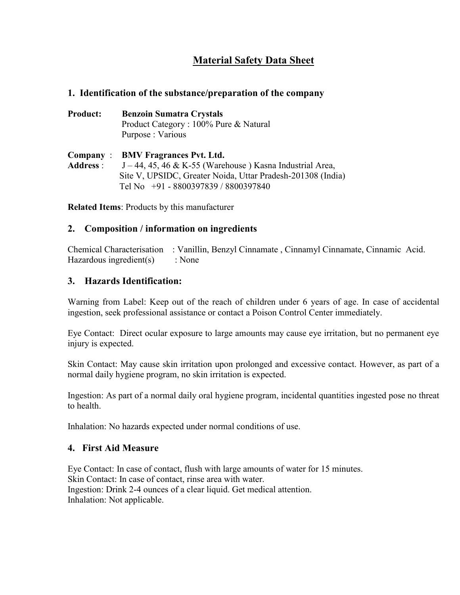# **Material Safety Data Sheet**

## **1. Identification of the substance/preparation of the company**

**Product: Benzoin Sumatra Crystals** Product Category : 100% Pure & Natural Purpose : Various

**Company** : **BMV Fragrances Pvt. Ltd. Address** : J – 44, 45, 46 & K-55 (Warehouse ) Kasna Industrial Area, Site V, UPSIDC, Greater Noida, Uttar Pradesh-201308 (India) Tel No +91 - 8800397839 / 8800397840

**Related Items**: Products by this manufacturer

## **2. Composition / information on ingredients**

Chemical Characterisation : Vanillin, Benzyl Cinnamate , Cinnamyl Cinnamate, Cinnamic Acid. Hazardous ingredient(s) : None

#### **3. Hazards Identification:**

Warning from Label: Keep out of the reach of children under 6 years of age. In case of accidental ingestion, seek professional assistance or contact a Poison Control Center immediately.

Eye Contact: Direct ocular exposure to large amounts may cause eye irritation, but no permanent eye injury is expected.

Skin Contact: May cause skin irritation upon prolonged and excessive contact. However, as part of a normal daily hygiene program, no skin irritation is expected.

Ingestion: As part of a normal daily oral hygiene program, incidental quantities ingested pose no threat to health.

Inhalation: No hazards expected under normal conditions of use.

## **4. First Aid Measure**

Eye Contact: In case of contact, flush with large amounts of water for 15 minutes. Skin Contact: In case of contact, rinse area with water. Ingestion: Drink 2-4 ounces of a clear liquid. Get medical attention. Inhalation: Not applicable.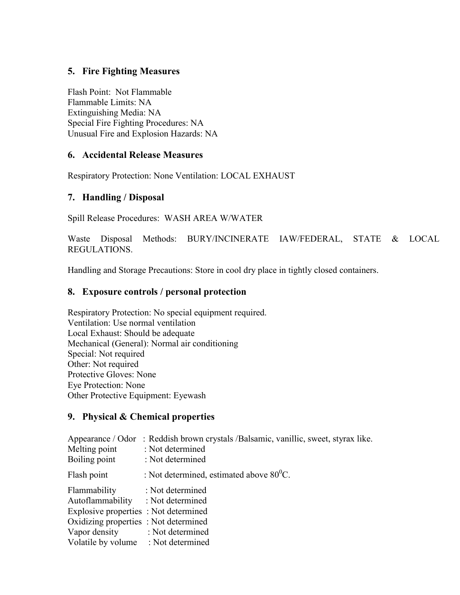# **5. Fire Fighting Measures**

Flash Point: Not Flammable Flammable Limits: NA Extinguishing Media: NA Special Fire Fighting Procedures: NA Unusual Fire and Explosion Hazards: NA

#### **6. Accidental Release Measures**

Respiratory Protection: None Ventilation: LOCAL EXHAUST

## **7. Handling / Disposal**

Spill Release Procedures: WASH AREA W/WATER

Waste Disposal Methods: BURY/INCINERATE IAW/FEDERAL, STATE & LOCAL REGULATIONS.

Handling and Storage Precautions: Store in cool dry place in tightly closed containers.

#### **8. Exposure controls / personal protection**

Respiratory Protection: No special equipment required. Ventilation: Use normal ventilation Local Exhaust: Should be adequate Mechanical (General): Normal air conditioning Special: Not required Other: Not required Protective Gloves: None Eye Protection: None Other Protective Equipment: Eyewash

#### **9. Physical & Chemical properties**

| Melting point<br>Boiling point        | Appearance / Odor : Reddish brown crystals / Balsamic, vanillic, sweet, styrax like.<br>: Not determined<br>: Not determined |
|---------------------------------------|------------------------------------------------------------------------------------------------------------------------------|
| Flash point                           | : Not determined, estimated above $80^0$ C.                                                                                  |
| Flammability                          | : Not determined                                                                                                             |
| Autoflammability : Not determined     |                                                                                                                              |
| Explosive properties : Not determined |                                                                                                                              |
| Oxidizing properties : Not determined |                                                                                                                              |
| Vapor density : Not determined        |                                                                                                                              |
| Volatile by volume : Not determined   |                                                                                                                              |